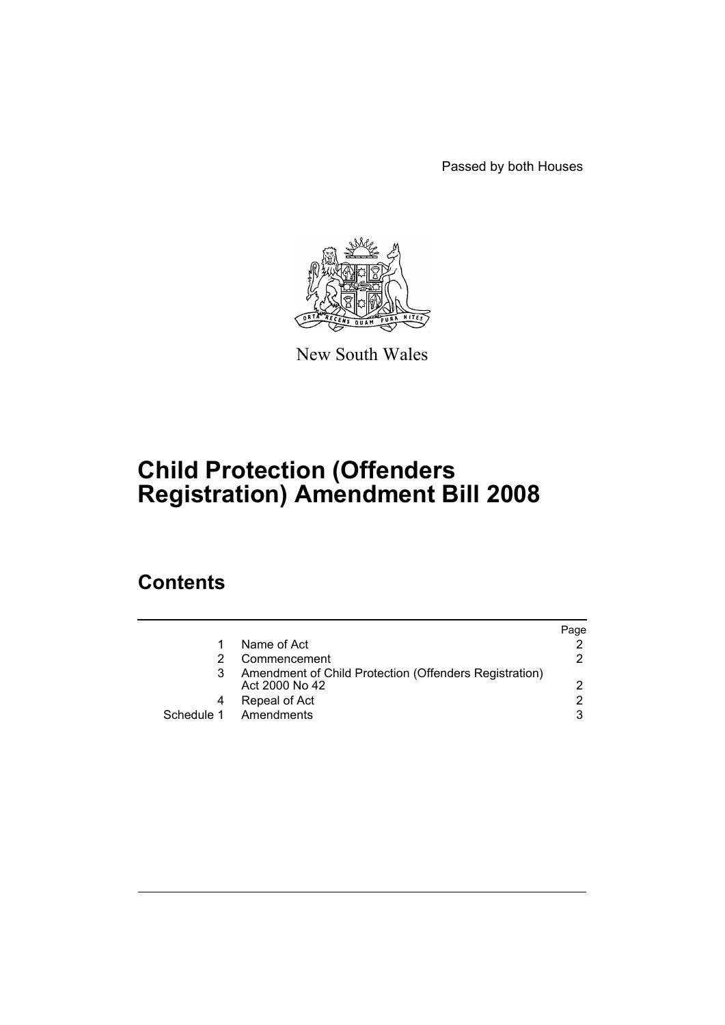Passed by both Houses



New South Wales

# **Child Protection (Offenders Registration) Amendment Bill 2008**

## **Contents**

|                                                                          | Paqe          |
|--------------------------------------------------------------------------|---------------|
| Name of Act                                                              |               |
| Commencement                                                             | 2             |
| Amendment of Child Protection (Offenders Registration)<br>Act 2000 No 42 | $\mathcal{P}$ |
| Repeal of Act                                                            | 2             |
| Schedule 1 Amendments                                                    | 3             |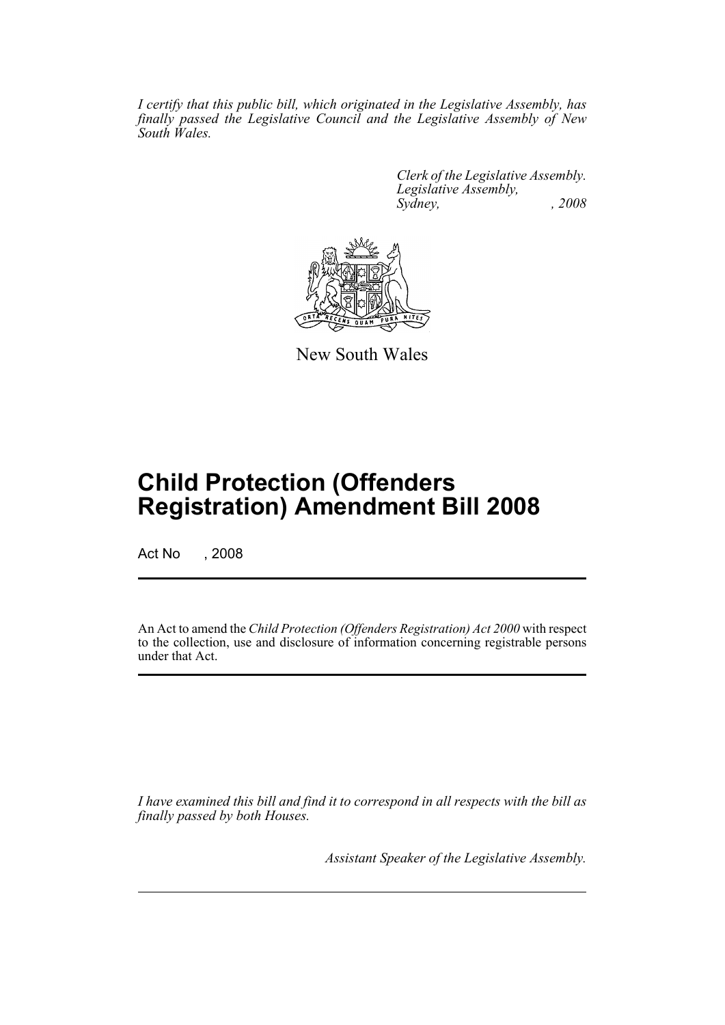*I certify that this public bill, which originated in the Legislative Assembly, has finally passed the Legislative Council and the Legislative Assembly of New South Wales.*

> *Clerk of the Legislative Assembly. Legislative Assembly, Sydney, , 2008*



New South Wales

## **Child Protection (Offenders Registration) Amendment Bill 2008**

Act No , 2008

An Act to amend the *Child Protection (Offenders Registration) Act 2000* with respect to the collection, use and disclosure of information concerning registrable persons under that Act.

*I have examined this bill and find it to correspond in all respects with the bill as finally passed by both Houses.*

*Assistant Speaker of the Legislative Assembly.*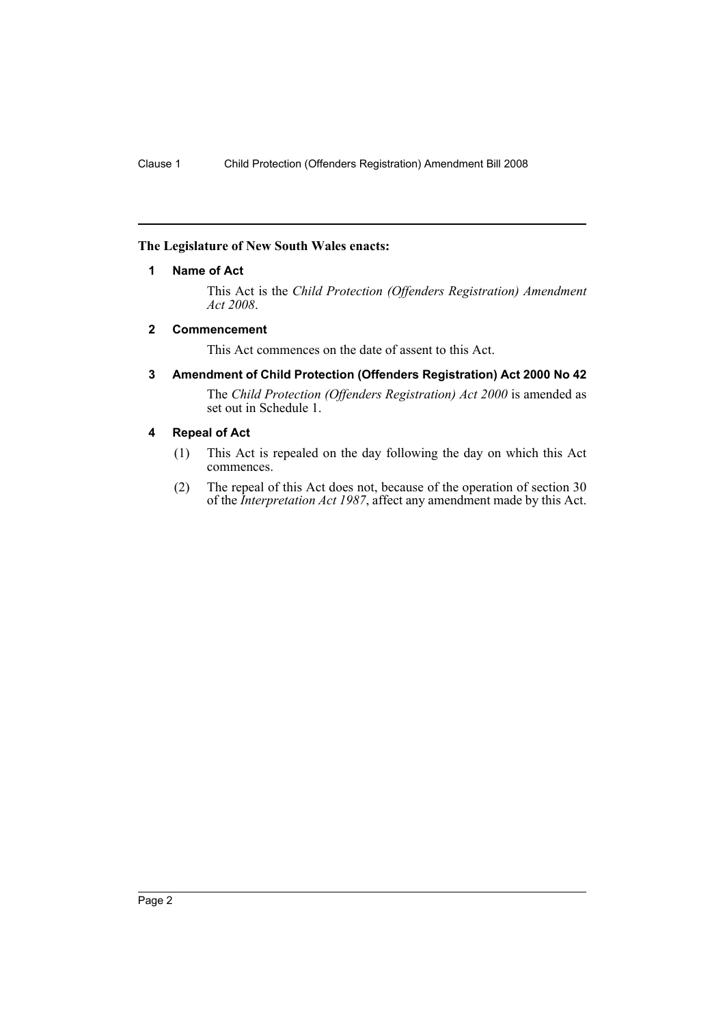## <span id="page-2-0"></span>**The Legislature of New South Wales enacts:**

### **1 Name of Act**

This Act is the *Child Protection (Offenders Registration) Amendment Act 2008*.

#### <span id="page-2-1"></span>**2 Commencement**

This Act commences on the date of assent to this Act.

<span id="page-2-2"></span>**3 Amendment of Child Protection (Offenders Registration) Act 2000 No 42**

The *Child Protection (Offenders Registration) Act 2000* is amended as set out in Schedule 1.

## <span id="page-2-3"></span>**4 Repeal of Act**

- (1) This Act is repealed on the day following the day on which this Act commences.
- (2) The repeal of this Act does not, because of the operation of section 30 of the *Interpretation Act 1987*, affect any amendment made by this Act.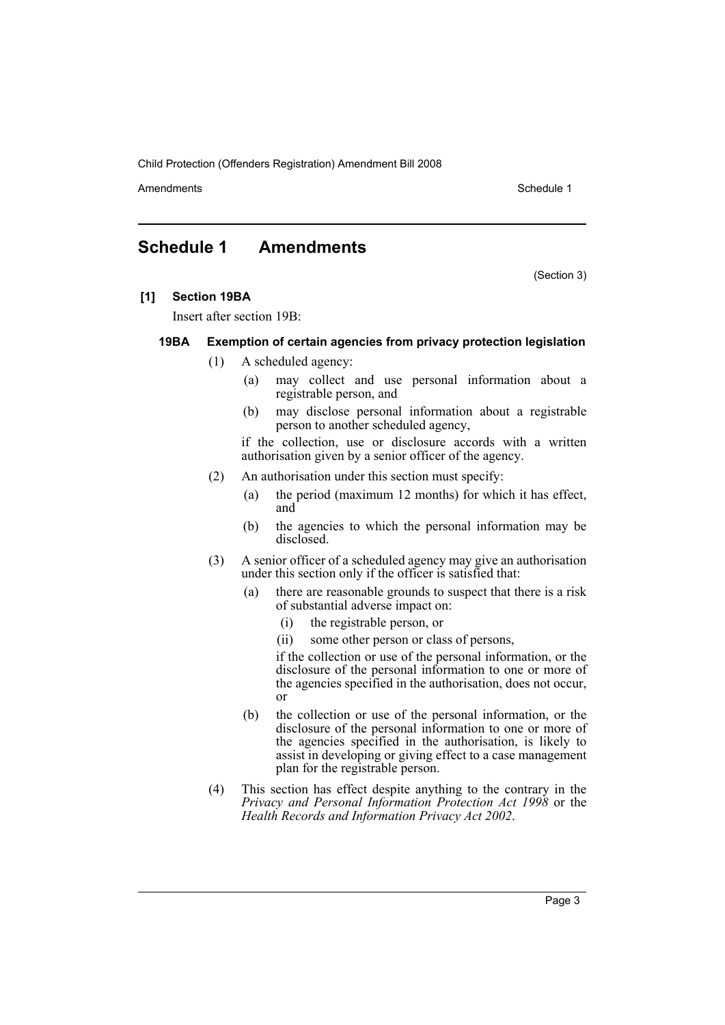Child Protection (Offenders Registration) Amendment Bill 2008

Amendments **Amendments** Schedule 1

## <span id="page-3-0"></span>**Schedule 1 Amendments**

(Section 3)

## **[1] Section 19BA**

Insert after section 19B:

## **19BA Exemption of certain agencies from privacy protection legislation**

- (1) A scheduled agency:
	- (a) may collect and use personal information about a registrable person, and
	- (b) may disclose personal information about a registrable person to another scheduled agency,

if the collection, use or disclosure accords with a written authorisation given by a senior officer of the agency.

- (2) An authorisation under this section must specify:
	- (a) the period (maximum 12 months) for which it has effect, and
	- (b) the agencies to which the personal information may be disclosed.
- (3) A senior officer of a scheduled agency may give an authorisation under this section only if the officer is satisfied that:
	- (a) there are reasonable grounds to suspect that there is a risk of substantial adverse impact on:
		- (i) the registrable person, or
		- (ii) some other person or class of persons,

if the collection or use of the personal information, or the disclosure of the personal information to one or more of the agencies specified in the authorisation, does not occur, or

- (b) the collection or use of the personal information, or the disclosure of the personal information to one or more of the agencies specified in the authorisation, is likely to assist in developing or giving effect to a case management plan for the registrable person.
- (4) This section has effect despite anything to the contrary in the *Privacy and Personal Information Protection Act 1998* or the *Health Records and Information Privacy Act 2002*.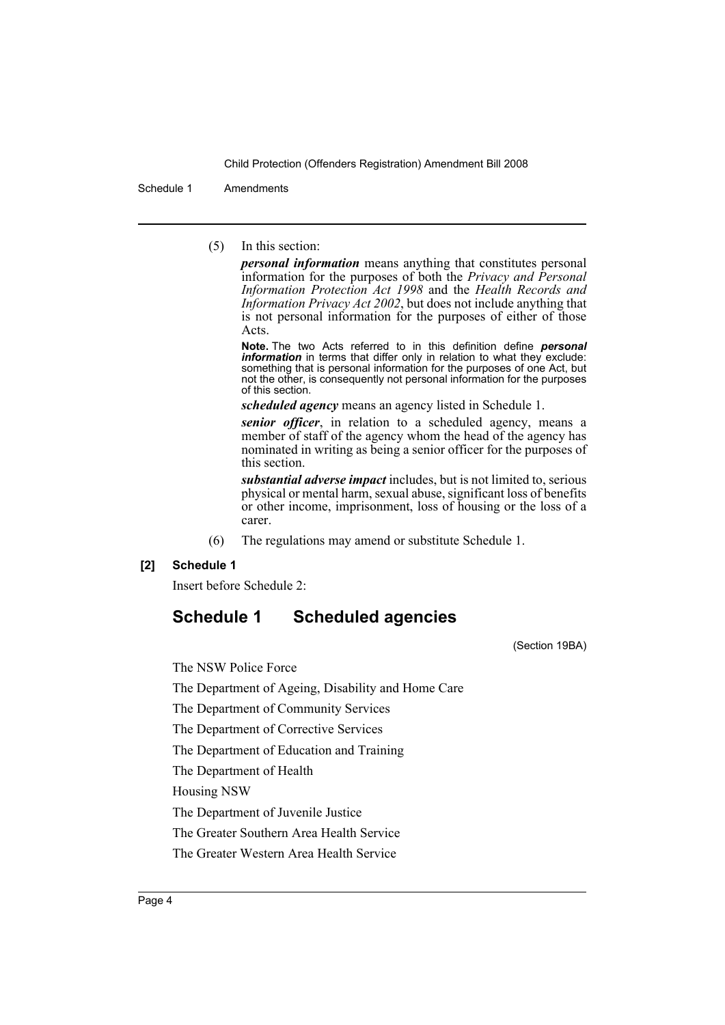Child Protection (Offenders Registration) Amendment Bill 2008

Schedule 1 Amendments

(5) In this section:

*personal information* means anything that constitutes personal information for the purposes of both the *Privacy and Personal Information Protection Act 1998* and the *Health Records and Information Privacy Act 2002*, but does not include anything that is not personal information for the purposes of either of those Acts.

**Note.** The two Acts referred to in this definition define *personal information* in terms that differ only in relation to what they exclude: something that is personal information for the purposes of one Act, but not the other, is consequently not personal information for the purposes of this section.

*scheduled agency* means an agency listed in Schedule 1.

*senior officer*, in relation to a scheduled agency, means a member of staff of the agency whom the head of the agency has nominated in writing as being a senior officer for the purposes of this section.

*substantial adverse impact* includes, but is not limited to, serious physical or mental harm, sexual abuse, significant loss of benefits or other income, imprisonment, loss of housing or the loss of a carer.

(6) The regulations may amend or substitute Schedule 1.

## **[2] Schedule 1**

Insert before Schedule 2:

## **Schedule 1 Scheduled agencies**

(Section 19BA)

The NSW Police Force

The Department of Ageing, Disability and Home Care

The Department of Community Services

The Department of Corrective Services

The Department of Education and Training

The Department of Health

Housing NSW

The Department of Juvenile Justice

The Greater Southern Area Health Service

The Greater Western Area Health Service